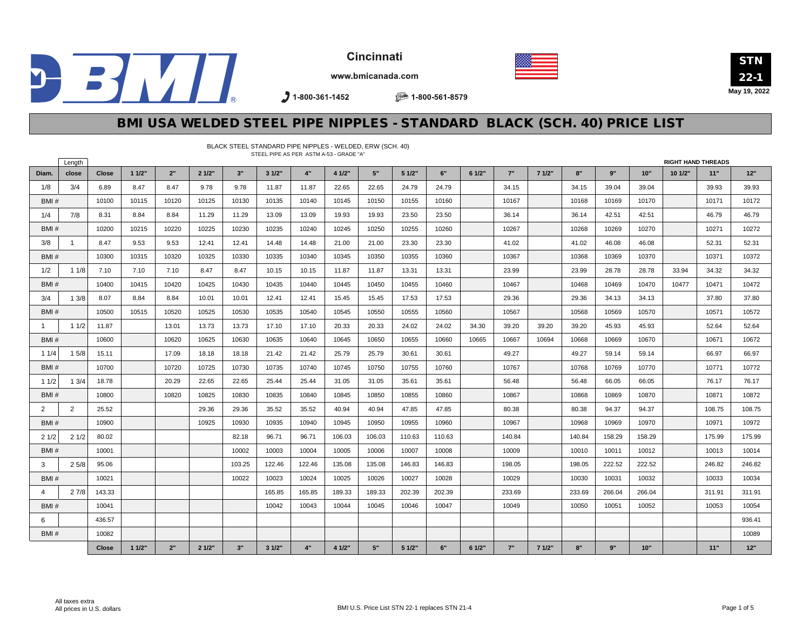





www.bmicanada.com

 $3$  1-800-361-1452

BLACK STEEL STANDARD PIPE NIPPLES - WELDED, ERW (SCH. 40)

● 1-800-561-8579

### BMI USA WELDED STEEL PIPE NIPPLES - STANDARD BLACK (SCH. 40) PRICE LIST

|       | Length       |              |       |       |       |        |        |        | STEEL PIPE AS PER ASTM A-53 - GRADE "A" |        |        |        |        |        |       |        |        |        | <b>RIGHT HAND THREADS</b> |        |        |
|-------|--------------|--------------|-------|-------|-------|--------|--------|--------|-----------------------------------------|--------|--------|--------|--------|--------|-------|--------|--------|--------|---------------------------|--------|--------|
| Diam. | close        | <b>Close</b> | 11/2" | 2"    | 21/2" | 3"     | 31/2"  | 4"     | 4 1/2"                                  | 5"     | 5 1/2" | 6"     | 61/2"  | 7"     | 71/2" | 8"     | 9"     | 10"    | 101/2"                    | 11"    | 12"    |
| 1/8   | 3/4          | 6.89         | 8.47  | 8.47  | 9.78  | 9.78   | 11.87  | 11.87  | 22.65                                   | 22.65  | 24.79  | 24.79  |        | 34.15  |       | 34.15  | 39.04  | 39.04  |                           | 39.93  | 39.93  |
| BMI#  |              | 10100        | 10115 | 10120 | 10125 | 10130  | 10135  | 10140  | 10145                                   | 10150  | 10155  | 10160  |        | 10167  |       | 10168  | 10169  | 10170  |                           | 10171  | 10172  |
| 1/4   | 7/8          | 8.31         | 8.84  | 8.84  | 11.29 | 11.29  | 13.09  | 13.09  | 19.93                                   | 19.93  | 23.50  | 23.50  |        | 36.14  |       | 36.14  | 42.51  | 42.51  |                           | 46.79  | 46.79  |
| BMI#  |              | 10200        | 10215 | 10220 | 10225 | 10230  | 10235  | 10240  | 10245                                   | 10250  | 10255  | 10260  |        | 10267  |       | 10268  | 10269  | 10270  |                           | 10271  | 10272  |
| 3/8   | $\mathbf{1}$ | 8.47         | 9.53  | 9.53  | 12.41 | 12.41  | 14.48  | 14.48  | 21.00                                   | 21.00  | 23.30  | 23.30  |        | 41.02  |       | 41.02  | 46.08  | 46.08  |                           | 52.31  | 52.31  |
| BMI#  |              | 10300        | 10315 | 10320 | 10325 | 10330  | 10335  | 10340  | 10345                                   | 10350  | 10355  | 10360  |        | 10367  |       | 10368  | 10369  | 10370  |                           | 10371  | 10372  |
| 1/2   | 11/8         | 7.10         | 7.10  | 7.10  | 8.47  | 8.47   | 10.15  | 10.15  | 11.87                                   | 11.87  | 13.31  | 13.31  |        | 23.99  |       | 23.99  | 28.78  | 28.78  | 33.94                     | 34.32  | 34.32  |
| BMI#  |              | 10400        | 10415 | 10420 | 10425 | 10430  | 10435  | 10440  | 10445                                   | 10450  | 10455  | 10460  |        | 10467  |       | 10468  | 10469  | 10470  | 10477                     | 10471  | 10472  |
| 3/4   | 13/8         | 8.07         | 8.84  | 8.84  | 10.01 | 10.01  | 12.41  | 12.41  | 15.45                                   | 15.45  | 17.53  | 17.53  |        | 29.36  |       | 29.36  | 34.13  | 34.13  |                           | 37.80  | 37.80  |
| BMI#  |              | 10500        | 10515 | 10520 | 10525 | 10530  | 10535  | 10540  | 10545                                   | 10550  | 10555  | 10560  |        | 10567  |       | 10568  | 10569  | 10570  |                           | 10571  | 10572  |
| -1    | 11/2         | 11.87        |       | 13.01 | 13.73 | 13.73  | 17.10  | 17.10  | 20.33                                   | 20.33  | 24.02  | 24.02  | 34.30  | 39.20  | 39.20 | 39.20  | 45.93  | 45.93  |                           | 52.64  | 52.64  |
| BMI#  |              | 10600        |       | 10620 | 10625 | 10630  | 10635  | 10640  | 10645                                   | 10650  | 10655  | 10660  | 10665  | 10667  | 10694 | 10668  | 10669  | 10670  |                           | 10671  | 10672  |
| 11/4  | 15/8         | 15.11        |       | 17.09 | 18.18 | 18.18  | 21.42  | 21.42  | 25.79                                   | 25.79  | 30.61  | 30.61  |        | 49.27  |       | 49.27  | 59.14  | 59.14  |                           | 66.97  | 66.97  |
| BMI#  |              | 10700        |       | 10720 | 10725 | 10730  | 10735  | 10740  | 10745                                   | 10750  | 10755  | 10760  |        | 10767  |       | 10768  | 10769  | 10770  |                           | 10771  | 10772  |
| 11/2  | 13/4         | 18.78        |       | 20.29 | 22.65 | 22.65  | 25.44  | 25.44  | 31.05                                   | 31.05  | 35.61  | 35.61  |        | 56.48  |       | 56.48  | 66.05  | 66.05  |                           | 76.17  | 76.17  |
| BMI#  |              | 10800        |       | 10820 | 10825 | 10830  | 10835  | 10840  | 10845                                   | 10850  | 10855  | 10860  |        | 10867  |       | 10868  | 10869  | 10870  |                           | 10871  | 10872  |
| 2     | 2            | 25.52        |       |       | 29.36 | 29.36  | 35.52  | 35.52  | 40.94                                   | 40.94  | 47.85  | 47.85  |        | 80.38  |       | 80.38  | 94.37  | 94.37  |                           | 108.75 | 108.75 |
| BMI#  |              | 10900        |       |       | 10925 | 10930  | 10935  | 10940  | 10945                                   | 10950  | 10955  | 10960  |        | 10967  |       | 10968  | 10969  | 10970  |                           | 10971  | 10972  |
| 21/2  | 21/2         | 80.02        |       |       |       | 82.18  | 96.71  | 96.71  | 106.03                                  | 106.03 | 110.63 | 110.63 |        | 140.84 |       | 140.84 | 158.29 | 158.29 |                           | 175.99 | 175.99 |
| BMI#  |              | 10001        |       |       |       | 10002  | 10003  | 10004  | 10005                                   | 10006  | 10007  | 10008  |        | 10009  |       | 10010  | 10011  | 10012  |                           | 10013  | 10014  |
| 3     | 25/8         | 95.06        |       |       |       | 103.25 | 122.46 | 122.46 | 135.08                                  | 135.08 | 146.83 | 146.83 |        | 198.05 |       | 198.05 | 222.52 | 222.52 |                           | 246.82 | 246.82 |
| BMI#  |              | 10021        |       |       |       | 10022  | 10023  | 10024  | 10025                                   | 10026  | 10027  | 10028  |        | 10029  |       | 10030  | 10031  | 10032  |                           | 10033  | 10034  |
| 4     | 27/8         | 143.33       |       |       |       |        | 165.85 | 165.85 | 189.33                                  | 189.33 | 202.39 | 202.39 |        | 233.69 |       | 233.69 | 266.04 | 266.04 |                           | 311.91 | 311.91 |
| BMI#  |              | 10041        |       |       |       |        | 10042  | 10043  | 10044                                   | 10045  | 10046  | 10047  |        | 10049  |       | 10050  | 10051  | 10052  |                           | 10053  | 10054  |
| 6     |              | 436.57       |       |       |       |        |        |        |                                         |        |        |        |        |        |       |        |        |        |                           |        | 936.41 |
| BMI#  |              | 10082        |       |       |       |        |        |        |                                         |        |        |        |        |        |       |        |        |        |                           |        | 10089  |
|       |              | <b>Close</b> | 11/2" | 2"    | 21/2" | 3"     | 31/2"  | 4"     | 4 1/2"                                  | 5"     | 5 1/2" | 6"     | 6 1/2" | 7"     | 71/2" | 8"     | 9"     | 10"    |                           | 11"    | 12"    |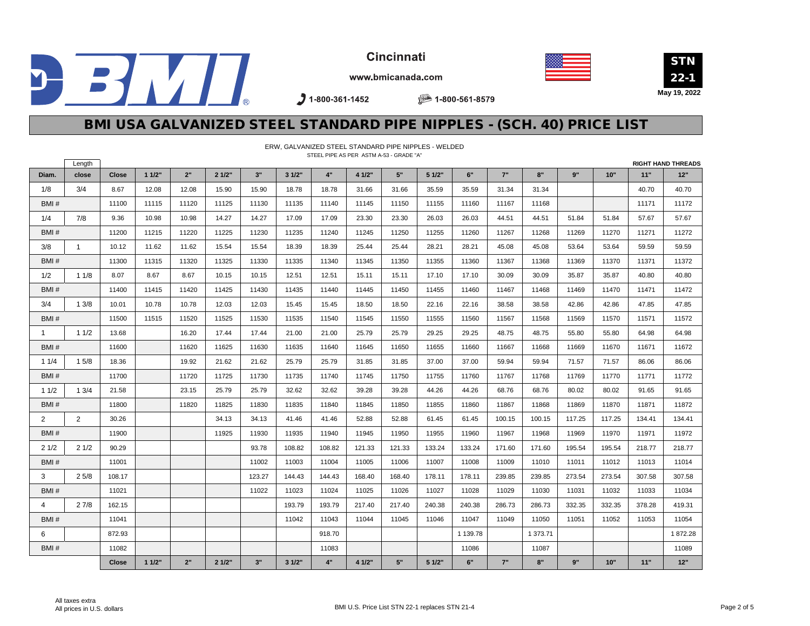



STN 22-1 **May 19, 2022**

www.bmicanada.com

 $21-800-361-1452$ 

● 1-800-561-8579

## BMI USA GALVANIZED STEEL STANDARD PIPE NIPPLES - (SCH. 40) PRICE LIST

|                | ERW, GALVANIZED STEEL STANDARD PIPE NIPPLES - WELDED<br>STEEL PIPE AS PER ASTM A-53 - GRADE "A" |        |       |       |       |        |        |        |        |        |        |          |        |          |        |        |        |                           |
|----------------|-------------------------------------------------------------------------------------------------|--------|-------|-------|-------|--------|--------|--------|--------|--------|--------|----------|--------|----------|--------|--------|--------|---------------------------|
|                | Length                                                                                          |        |       |       |       |        |        |        |        |        |        |          |        |          |        |        |        | <b>RIGHT HAND THREADS</b> |
| Diam.          | close                                                                                           | Close  | 11/2" | 2"    | 21/2" | 3"     | 31/2"  | 4"     | 4 1/2" | 5"     | 5 1/2" | 6"       | 7"     | 8"       | 9"     | 10"    | 11"    | 12"                       |
| 1/8            | 3/4                                                                                             | 8.67   | 12.08 | 12.08 | 15.90 | 15.90  | 18.78  | 18.78  | 31.66  | 31.66  | 35.59  | 35.59    | 31.34  | 31.34    |        |        | 40.70  | 40.70                     |
| BMI#           |                                                                                                 | 11100  | 11115 | 11120 | 11125 | 11130  | 11135  | 11140  | 11145  | 11150  | 11155  | 11160    | 11167  | 11168    |        |        | 11171  | 11172                     |
| 1/4            | 7/8                                                                                             | 9.36   | 10.98 | 10.98 | 14.27 | 14.27  | 17.09  | 17.09  | 23.30  | 23.30  | 26.03  | 26.03    | 44.51  | 44.51    | 51.84  | 51.84  | 57.67  | 57.67                     |
| BMI#           |                                                                                                 | 11200  | 11215 | 11220 | 11225 | 11230  | 11235  | 11240  | 11245  | 11250  | 11255  | 11260    | 11267  | 11268    | 11269  | 11270  | 11271  | 11272                     |
| 3/8            | $\mathbf{1}$                                                                                    | 10.12  | 11.62 | 11.62 | 15.54 | 15.54  | 18.39  | 18.39  | 25.44  | 25.44  | 28.21  | 28.21    | 45.08  | 45.08    | 53.64  | 53.64  | 59.59  | 59.59                     |
| BMI#           |                                                                                                 | 11300  | 11315 | 11320 | 11325 | 11330  | 11335  | 11340  | 11345  | 11350  | 11355  | 11360    | 11367  | 11368    | 11369  | 11370  | 11371  | 11372                     |
| 1/2            | 11/8                                                                                            | 8.07   | 8.67  | 8.67  | 10.15 | 10.15  | 12.51  | 12.51  | 15.11  | 15.11  | 17.10  | 17.10    | 30.09  | 30.09    | 35.87  | 35.87  | 40.80  | 40.80                     |
| BMI#           |                                                                                                 | 11400  | 11415 | 11420 | 11425 | 11430  | 11435  | 11440  | 11445  | 11450  | 11455  | 11460    | 11467  | 11468    | 11469  | 11470  | 11471  | 11472                     |
| 3/4            | 13/8                                                                                            | 10.01  | 10.78 | 10.78 | 12.03 | 12.03  | 15.45  | 15.45  | 18.50  | 18.50  | 22.16  | 22.16    | 38.58  | 38.58    | 42.86  | 42.86  | 47.85  | 47.85                     |
| BMI#           |                                                                                                 | 11500  | 11515 | 11520 | 11525 | 11530  | 11535  | 11540  | 11545  | 11550  | 11555  | 11560    | 11567  | 11568    | 11569  | 11570  | 11571  | 11572                     |
| $\mathbf{1}$   | 11/2                                                                                            | 13.68  |       | 16.20 | 17.44 | 17.44  | 21.00  | 21.00  | 25.79  | 25.79  | 29.25  | 29.25    | 48.75  | 48.75    | 55.80  | 55.80  | 64.98  | 64.98                     |
| BMI#           |                                                                                                 | 11600  |       | 11620 | 11625 | 11630  | 11635  | 11640  | 11645  | 11650  | 11655  | 11660    | 11667  | 11668    | 11669  | 11670  | 11671  | 11672                     |
| 11/4           | 15/8                                                                                            | 18.36  |       | 19.92 | 21.62 | 21.62  | 25.79  | 25.79  | 31.85  | 31.85  | 37.00  | 37.00    | 59.94  | 59.94    | 71.57  | 71.57  | 86.06  | 86.06                     |
| BMI#           |                                                                                                 | 11700  |       | 11720 | 11725 | 11730  | 11735  | 11740  | 11745  | 11750  | 11755  | 11760    | 11767  | 11768    | 11769  | 11770  | 11771  | 11772                     |
| 11/2           | 1.3/4                                                                                           | 21.58  |       | 23.15 | 25.79 | 25.79  | 32.62  | 32.62  | 39.28  | 39.28  | 44.26  | 44.26    | 68.76  | 68.76    | 80.02  | 80.02  | 91.65  | 91.65                     |
| BMI#           |                                                                                                 | 11800  |       | 11820 | 11825 | 11830  | 11835  | 11840  | 11845  | 11850  | 11855  | 11860    | 11867  | 11868    | 11869  | 11870  | 11871  | 11872                     |
| 2              | $\overline{2}$                                                                                  | 30.26  |       |       | 34.13 | 34.13  | 41.46  | 41.46  | 52.88  | 52.88  | 61.45  | 61.45    | 100.15 | 100.15   | 117.25 | 117.25 | 134.41 | 134.41                    |
| BMI#           |                                                                                                 | 11900  |       |       | 11925 | 11930  | 11935  | 11940  | 11945  | 11950  | 11955  | 11960    | 11967  | 11968    | 11969  | 11970  | 11971  | 11972                     |
| 21/2           | 21/2                                                                                            | 90.29  |       |       |       | 93.78  | 108.82 | 108.82 | 121.33 | 121.33 | 133.24 | 133.24   | 171.60 | 171.60   | 195.54 | 195.54 | 218.77 | 218.77                    |
| BMI#           |                                                                                                 | 11001  |       |       |       | 11002  | 11003  | 11004  | 11005  | 11006  | 11007  | 11008    | 11009  | 11010    | 11011  | 11012  | 11013  | 11014                     |
| 3              | 25/8                                                                                            | 108.17 |       |       |       | 123.27 | 144.43 | 144.43 | 168.40 | 168.40 | 178.11 | 178.11   | 239.85 | 239.85   | 273.54 | 273.54 | 307.58 | 307.58                    |
| BMI#           |                                                                                                 | 11021  |       |       |       | 11022  | 11023  | 11024  | 11025  | 11026  | 11027  | 11028    | 11029  | 11030    | 11031  | 11032  | 11033  | 11034                     |
| $\overline{4}$ | 27/8                                                                                            | 162.15 |       |       |       |        | 193.79 | 193.79 | 217.40 | 217.40 | 240.38 | 240.38   | 286.73 | 286.73   | 332.35 | 332.35 | 378.28 | 419.31                    |
| BMI#           |                                                                                                 | 11041  |       |       |       |        | 11042  | 11043  | 11044  | 11045  | 11046  | 11047    | 11049  | 11050    | 11051  | 11052  | 11053  | 11054                     |
| 6              |                                                                                                 | 872.93 |       |       |       |        |        | 918.70 |        |        |        | 1 139.78 |        | 1 373.71 |        |        |        | 1872.28                   |
| BMI#           |                                                                                                 | 11082  |       |       |       |        |        | 11083  |        |        |        | 11086    |        | 11087    |        |        |        | 11089                     |
|                |                                                                                                 | Close  | 11/2" | 2"    | 21/2" | 3"     | 31/2"  | 4"     | 4 1/2" | 5"     | 51/2"  | 6"       | 7"     | 8"       | 9"     | 10"    | 11"    | 12"                       |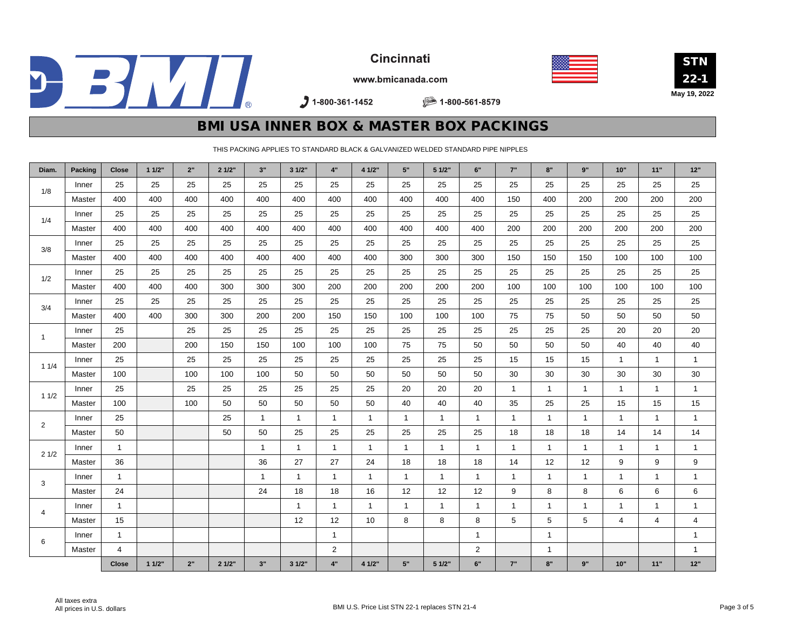







www.bmicanada.com

 $31-800-361-1452$ 

■ 1-800-561-8579

### BMI USA INNER BOX & MASTER BOX PACKINGS

THIS PACKING APPLIES TO STANDARD BLACK & GALVANIZED WELDED STANDARD PIPE NIPPLES

| Diam.          | Packing | <b>Close</b> | 11/2" | 2"  | 21/2" | 3"           | 31/2"        | 4"             | 4 1/2"       | 5"           | 5 1/2"         | 6"             | 7"           | 8"           | 9"           | 10"            | 11"          | $12"$        |
|----------------|---------|--------------|-------|-----|-------|--------------|--------------|----------------|--------------|--------------|----------------|----------------|--------------|--------------|--------------|----------------|--------------|--------------|
| 1/8            | Inner   | 25           | 25    | 25  | 25    | 25           | 25           | 25             | 25           | 25           | 25             | 25             | 25           | 25           | 25           | 25             | 25           | 25           |
|                | Master  | 400          | 400   | 400 | 400   | 400          | 400          | 400            | 400          | 400          | 400            | 400            | 150          | 400          | 200          | 200            | 200          | 200          |
| 1/4            | Inner   | 25           | 25    | 25  | 25    | 25           | 25           | 25             | 25           | 25           | 25             | 25             | 25           | 25           | 25           | 25             | 25           | 25           |
|                | Master  | 400          | 400   | 400 | 400   | 400          | 400          | 400            | 400          | 400          | 400            | 400            | 200          | 200          | 200          | 200            | 200          | 200          |
| 3/8            | Inner   | 25           | 25    | 25  | 25    | 25           | 25           | 25             | 25           | 25           | 25             | 25             | 25           | 25           | 25           | 25             | 25           | 25           |
|                | Master  | 400          | 400   | 400 | 400   | 400          | 400          | 400            | 400          | 300          | 300            | 300            | 150          | 150          | 150          | 100            | 100          | 100          |
| 1/2            | Inner   | 25           | 25    | 25  | 25    | 25           | 25           | 25             | 25           | 25           | 25             | 25             | 25           | 25           | 25           | 25             | 25           | 25           |
|                | Master  | 400          | 400   | 400 | 300   | 300          | 300          | 200            | 200          | 200          | 200            | 200            | 100          | 100          | 100          | 100            | 100          | 100          |
| 3/4            | Inner   | 25           | 25    | 25  | 25    | 25           | 25           | 25             | 25           | 25           | 25             | 25             | 25           | 25           | 25           | 25             | 25           | 25           |
|                | Master  | 400          | 400   | 300 | 300   | 200          | 200          | 150            | 150          | 100          | 100            | 100            | 75           | 75           | 50           | 50             | 50           | 50           |
| -1             | Inner   | 25           |       | 25  | 25    | 25           | 25           | 25             | 25           | 25           | 25             | 25             | 25           | 25           | 25           | 20             | 20           | 20           |
|                | Master  | 200          |       | 200 | 150   | 150          | 100          | 100            | 100          | 75           | 75             | 50             | 50           | 50           | 50           | 40             | 40           | 40           |
| 11/4           | Inner   | 25           |       | 25  | 25    | 25           | 25           | 25             | 25           | 25           | 25             | 25             | 15           | 15           | 15           | $\mathbf{1}$   | $\mathbf{1}$ | $\mathbf{1}$ |
|                | Master  | 100          |       | 100 | 100   | 100          | 50           | 50             | 50           | 50           | 50             | 50             | 30           | 30           | 30           | 30             | 30           | $30\,$       |
| 11/2           | Inner   | 25           |       | 25  | 25    | 25           | 25           | 25             | 25           | 20           | 20             | 20             | $\mathbf{1}$ | $\mathbf{1}$ | $\mathbf{1}$ | $\mathbf{1}$   | $\mathbf{1}$ | $\mathbf{1}$ |
|                | Master  | 100          |       | 100 | 50    | 50           | 50           | 50             | 50           | 40           | 40             | 40             | 35           | 25           | 25           | 15             | 15           | 15           |
| $\overline{2}$ | Inner   | 25           |       |     | 25    | $\mathbf{1}$ | $\mathbf{1}$ | $\mathbf{1}$   | $\mathbf{1}$ | $\mathbf{1}$ | $\overline{1}$ | $\mathbf{1}$   | $\mathbf{1}$ | $\mathbf{1}$ | $\mathbf{1}$ | $\mathbf{1}$   | $\mathbf{1}$ | $\mathbf{1}$ |
|                | Master  | 50           |       |     | 50    | 50           | 25           | 25             | 25           | 25           | 25             | 25             | 18           | 18           | 18           | 14             | 14           | 14           |
| 21/2           | Inner   | $\mathbf{1}$ |       |     |       | $\mathbf{1}$ | $\mathbf{1}$ | $\mathbf{1}$   | $\mathbf{1}$ | $\mathbf{1}$ | $\mathbf{1}$   | $\mathbf{1}$   | $\mathbf{1}$ | $\mathbf{1}$ | $\mathbf{1}$ | $\mathbf{1}$   | $\mathbf{1}$ | $\mathbf{1}$ |
|                | Master  | 36           |       |     |       | 36           | 27           | 27             | 24           | 18           | 18             | 18             | 14           | 12           | 12           | 9              | 9            | 9            |
| 3              | Inner   | $\mathbf{1}$ |       |     |       | $\mathbf{1}$ | $\mathbf{1}$ | $\mathbf{1}$   | $\mathbf{1}$ | $\mathbf{1}$ | $\overline{1}$ | $\mathbf{1}$   | $\mathbf{1}$ | $\mathbf{1}$ | $\mathbf{1}$ | $\mathbf{1}$   | 1            | $\mathbf{1}$ |
|                | Master  | 24           |       |     |       | 24           | 18           | 18             | 16           | 12           | 12             | 12             | 9            | 8            | 8            | 6              | 6            | 6            |
| 4              | Inner   | $\mathbf{1}$ |       |     |       |              | $\mathbf{1}$ | $\mathbf{1}$   | $\mathbf{1}$ | $\mathbf{1}$ | $\mathbf{1}$   | $\mathbf{1}$   | $\mathbf{1}$ | $\mathbf{1}$ | $\mathbf{1}$ | $\mathbf{1}$   | $\mathbf{1}$ | $\mathbf{1}$ |
|                | Master  | 15           |       |     |       |              | 12           | 12             | 10           | 8            | 8              | 8              | 5            | 5            | 5            | $\overline{4}$ | 4            | 4            |
| 6              | Inner   | $\mathbf{1}$ |       |     |       |              |              | $\mathbf{1}$   |              |              |                | $\mathbf{1}$   |              | $\mathbf{1}$ |              |                |              | $\mathbf{1}$ |
|                | Master  | 4            |       |     |       |              |              | $\overline{2}$ |              |              |                | $\overline{2}$ |              | $\mathbf{1}$ |              |                |              | $\mathbf{1}$ |
|                |         | <b>Close</b> | 11/2" | 2"  | 21/2" | 3"           | 31/2"        | 4"             | 4 1/2"       | 5"           | 5 1/2"         | 6"             | 7"           | 8"           | $9"$         | $10"$          | $11"$        | $12"$        |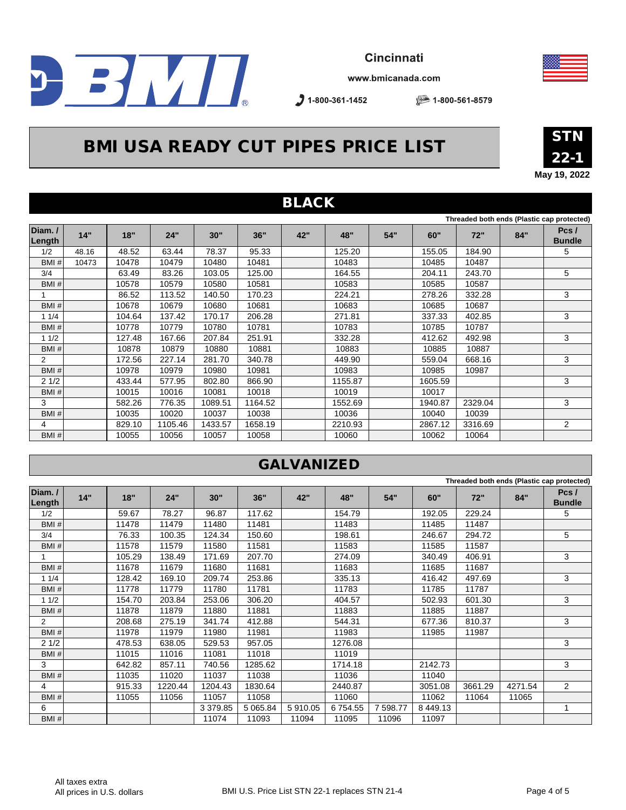

www.bmicanada.com

 $31-800-361-1452$ 

■ 1-800-561-8579

# BMI USA READY CUT PIPES PRICE LIST



**May 19, 2022**

|                  | <b>BLACK</b> |        |         |         |         |     |         |     |         |         |     |                                            |  |  |
|------------------|--------------|--------|---------|---------|---------|-----|---------|-----|---------|---------|-----|--------------------------------------------|--|--|
|                  |              |        |         |         |         |     |         |     |         |         |     | Threaded both ends (Plastic cap protected) |  |  |
| Diam./<br>Length | 14"          | 18"    | 24"     | 30"     | 36"     | 42" | 48"     | 54" | 60"     | 72"     | 84" | Pcs/<br><b>Bundle</b>                      |  |  |
| 1/2              | 48.16        | 48.52  | 63.44   | 78.37   | 95.33   |     | 125.20  |     | 155.05  | 184.90  |     | 5                                          |  |  |
| BMI#             | 10473        | 10478  | 10479   | 10480   | 10481   |     | 10483   |     | 10485   | 10487   |     |                                            |  |  |
| 3/4              |              | 63.49  | 83.26   | 103.05  | 125.00  |     | 164.55  |     | 204.11  | 243.70  |     | 5                                          |  |  |
| BMI#             |              | 10578  | 10579   | 10580   | 10581   |     | 10583   |     | 10585   | 10587   |     |                                            |  |  |
|                  |              | 86.52  | 113.52  | 140.50  | 170.23  |     | 224.21  |     | 278.26  | 332.28  |     | 3                                          |  |  |
| BMI#             |              | 10678  | 10679   | 10680   | 10681   |     | 10683   |     | 10685   | 10687   |     |                                            |  |  |
| 11/4             |              | 104.64 | 137.42  | 170.17  | 206.28  |     | 271.81  |     | 337.33  | 402.85  |     | 3                                          |  |  |
| BMI#             |              | 10778  | 10779   | 10780   | 10781   |     | 10783   |     | 10785   | 10787   |     |                                            |  |  |
| 11/2             |              | 127.48 | 167.66  | 207.84  | 251.91  |     | 332.28  |     | 412.62  | 492.98  |     | 3                                          |  |  |
| BMI#             |              | 10878  | 10879   | 10880   | 10881   |     | 10883   |     | 10885   | 10887   |     |                                            |  |  |
| 2                |              | 172.56 | 227.14  | 281.70  | 340.78  |     | 449.90  |     | 559.04  | 668.16  |     | 3                                          |  |  |
| BMI#             |              | 10978  | 10979   | 10980   | 10981   |     | 10983   |     | 10985   | 10987   |     |                                            |  |  |
| 21/2             |              | 433.44 | 577.95  | 802.80  | 866.90  |     | 1155.87 |     | 1605.59 |         |     | 3                                          |  |  |
| BMI#             |              | 10015  | 10016   | 10081   | 10018   |     | 10019   |     | 10017   |         |     |                                            |  |  |
| 3                |              | 582.26 | 776.35  | 1089.51 | 1164.52 |     | 1552.69 |     | 1940.87 | 2329.04 |     | 3                                          |  |  |
| BMI#             |              | 10035  | 10020   | 10037   | 10038   |     | 10036   |     | 10040   | 10039   |     |                                            |  |  |
| 4                |              | 829.10 | 1105.46 | 1433.57 | 1658.19 |     | 2210.93 |     | 2867.12 | 3316.69 |     | 2                                          |  |  |
| BMI#             |              | 10055  | 10056   | 10057   | 10058   |     | 10060   |     | 10062   | 10064   |     |                                            |  |  |

### GALVANIZED

| Threaded both ends (Plastic cap protected) |     |        |         |          |               |         |         |         |               |         |         |                       |
|--------------------------------------------|-----|--------|---------|----------|---------------|---------|---------|---------|---------------|---------|---------|-----------------------|
| Diam./<br>Length                           | 14" | 18"    | 24"     | 30"      | 36"           | 42"     | 48"     | 54"     | 60"           | 72"     | 84"     | Pcs/<br><b>Bundle</b> |
| 1/2                                        |     | 59.67  | 78.27   | 96.87    | 117.62        |         | 154.79  |         | 192.05        | 229.24  |         | 5                     |
| BMI#                                       |     | 11478  | 11479   | 11480    | 11481         |         | 11483   |         | 11485         | 11487   |         |                       |
| 3/4                                        |     | 76.33  | 100.35  | 124.34   | 150.60        |         | 198.61  |         | 246.67        | 294.72  |         | 5                     |
| BMI#                                       |     | 11578  | 11579   | 11580    | 11581         |         | 11583   |         | 11585         | 11587   |         |                       |
|                                            |     | 105.29 | 138.49  | 171.69   | 207.70        |         | 274.09  |         | 340.49        | 406.91  |         | 3                     |
| BMI#                                       |     | 11678  | 11679   | 11680    | 11681         |         | 11683   |         | 11685         | 11687   |         |                       |
| 11/4                                       |     | 128.42 | 169.10  | 209.74   | 253.86        |         | 335.13  |         | 416.42        | 497.69  |         | 3                     |
| BMI#                                       |     | 11778  | 11779   | 11780    | 11781         |         | 11783   |         | 11785         | 11787   |         |                       |
| 11/2                                       |     | 154.70 | 203.84  | 253.06   | 306.20        |         | 404.57  |         | 502.93        | 601.30  |         | 3                     |
| BMI#                                       |     | 11878  | 11879   | 11880    | 11881         |         | 11883   |         | 11885         | 11887   |         |                       |
| $\overline{2}$                             |     | 208.68 | 275.19  | 341.74   | 412.88        |         | 544.31  |         | 677.36        | 810.37  |         | 3                     |
| BMI#                                       |     | 11978  | 11979   | 11980    | 11981         |         | 11983   |         | 11985         | 11987   |         |                       |
| 21/2                                       |     | 478.53 | 638.05  | 529.53   | 957.05        |         | 1276.08 |         |               |         |         | 3                     |
| BMI#                                       |     | 11015  | 11016   | 11081    | 11018         |         | 11019   |         |               |         |         |                       |
| 3                                          |     | 642.82 | 857.11  | 740.56   | 1285.62       |         | 1714.18 |         | 2142.73       |         |         | 3                     |
| BMI#                                       |     | 11035  | 11020   | 11037    | 11038         |         | 11036   |         | 11040         |         |         |                       |
| 4                                          |     | 915.33 | 1220.44 | 1204.43  | 1830.64       |         | 2440.87 |         | 3051.08       | 3661.29 | 4271.54 | 2                     |
| BMI#                                       |     | 11055  | 11056   | 11057    | 11058         |         | 11060   |         | 11062         | 11064   | 11065   |                       |
| 6                                          |     |        |         | 3 379.85 | 5 0 6 5 . 8 4 | 5910.05 | 6754.55 | 7598.77 | 8 4 4 9 . 1 3 |         |         | 1                     |
| BMI#                                       |     |        |         | 11074    | 11093         | 11094   | 11095   | 11096   | 11097         |         |         |                       |